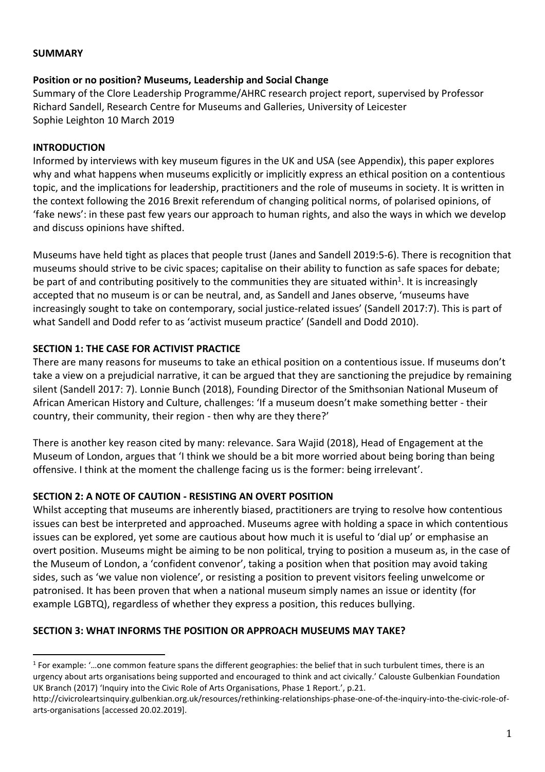#### **SUMMARY**

### **Position or no position? Museums, Leadership and Social Change**

Summary of the Clore Leadership Programme/AHRC research project report, supervised by Professor Richard Sandell, Research Centre for Museums and Galleries, University of Leicester Sophie Leighton 10 March 2019

### **INTRODUCTION**

 $\overline{a}$ 

Informed by interviews with key museum figures in the UK and USA (see Appendix), this paper explores why and what happens when museums explicitly or implicitly express an ethical position on a contentious topic, and the implications for leadership, practitioners and the role of museums in society. It is written in the context following the 2016 Brexit referendum of changing political norms, of polarised opinions, of 'fake news': in these past few years our approach to human rights, and also the ways in which we develop and discuss opinions have shifted.

Museums have held tight as places that people trust (Janes and Sandell 2019:5-6). There is recognition that museums should strive to be civic spaces; capitalise on their ability to function as safe spaces for debate; be part of and contributing positively to the communities they are situated within<sup>1</sup>. It is increasingly accepted that no museum is or can be neutral, and, as Sandell and Janes observe, 'museums have increasingly sought to take on contemporary, social justice-related issues' (Sandell 2017:7). This is part of what Sandell and Dodd refer to as 'activist museum practice' (Sandell and Dodd 2010).

## **SECTION 1: THE CASE FOR ACTIVIST PRACTICE**

There are many reasons for museums to take an ethical position on a contentious issue. If museums don't take a view on a prejudicial narrative, it can be argued that they are sanctioning the prejudice by remaining silent (Sandell 2017: 7). Lonnie Bunch (2018), Founding Director of the Smithsonian National Museum of African American History and Culture, challenges: 'If a museum doesn't make something better - their country, their community, their region - then why are they there?'

There is another key reason cited by many: relevance. Sara Wajid (2018), Head of Engagement at the Museum of London, argues that 'I think we should be a bit more worried about being boring than being offensive. I think at the moment the challenge facing us is the former: being irrelevant'.

## **SECTION 2: A NOTE OF CAUTION - RESISTING AN OVERT POSITION**

Whilst accepting that museums are inherently biased, practitioners are trying to resolve how contentious issues can best be interpreted and approached. Museums agree with holding a space in which contentious issues can be explored, yet some are cautious about how much it is useful to 'dial up' or emphasise an overt position. Museums might be aiming to be non political, trying to position a museum as, in the case of the Museum of London, a 'confident convenor', taking a position when that position may avoid taking sides, such as 'we value non violence', or resisting a position to prevent visitors feeling unwelcome or patronised. It has been proven that when a national museum simply names an issue or identity (for example LGBTQ), regardless of whether they express a position, this reduces bullying.

#### **SECTION 3: WHAT INFORMS THE POSITION OR APPROACH MUSEUMS MAY TAKE?**

<sup>&</sup>lt;sup>1</sup> For example: '...one common feature spans the different geographies: the belief that in such turbulent times, there is an urgency about arts organisations being supported and encouraged to think and act civically.' Calouste Gulbenkian Foundation UK Branch (2017) 'Inquiry into the Civic Role of Arts Organisations, Phase 1 Report.', p.21.

[http://civicroleartsinquiry.gulbenkian.org.uk/resources/rethinking-relationships-phase-one-of-the-inquiry-into-the-civic-role-of](http://civicroleartsinquiry.gulbenkian.org.uk/resources/rethinking-relationships-phase-one-of-the-inquiry-into-the-civic-role-of-arts-organisations)[arts-organisations](http://civicroleartsinquiry.gulbenkian.org.uk/resources/rethinking-relationships-phase-one-of-the-inquiry-into-the-civic-role-of-arts-organisations) [accessed 20.02.2019].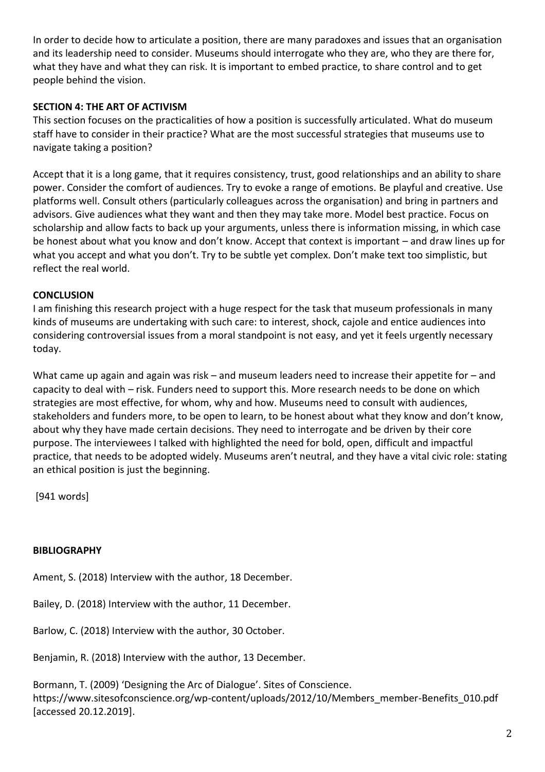In order to decide how to articulate a position, there are many paradoxes and issues that an organisation and its leadership need to consider. Museums should interrogate who they are, who they are there for, what they have and what they can risk. It is important to embed practice, to share control and to get people behind the vision.

# **SECTION 4: THE ART OF ACTIVISM**

This section focuses on the practicalities of how a position is successfully articulated. What do museum staff have to consider in their practice? What are the most successful strategies that museums use to navigate taking a position?

Accept that it is a long game, that it requires consistency, trust, good relationships and an ability to share power. Consider the comfort of audiences. Try to evoke a range of emotions. Be playful and creative. Use platforms well. Consult others (particularly colleagues across the organisation) and bring in partners and advisors. Give audiences what they want and then they may take more. Model best practice. Focus on scholarship and allow facts to back up your arguments, unless there is information missing, in which case be honest about what you know and don't know. Accept that context is important – and draw lines up for what you accept and what you don't. Try to be subtle yet complex. Don't make text too simplistic, but reflect the real world.

# **CONCLUSION**

I am finishing this research project with a huge respect for the task that museum professionals in many kinds of museums are undertaking with such care: to interest, shock, cajole and entice audiences into considering controversial issues from a moral standpoint is not easy, and yet it feels urgently necessary today.

What came up again and again was risk – and museum leaders need to increase their appetite for – and capacity to deal with – risk. Funders need to support this. More research needs to be done on which strategies are most effective, for whom, why and how. Museums need to consult with audiences, stakeholders and funders more, to be open to learn, to be honest about what they know and don't know, about why they have made certain decisions. They need to interrogate and be driven by their core purpose. The interviewees I talked with highlighted the need for bold, open, difficult and impactful practice, that needs to be adopted widely. Museums aren't neutral, and they have a vital civic role: stating an ethical position is just the beginning.

[941 words]

## **BIBLIOGRAPHY**

Ament, S. (2018) Interview with the author, 18 December.

Bailey, D. (2018) Interview with the author, 11 December.

Barlow, C. (2018) Interview with the author, 30 October.

Benjamin, R. (2018) Interview with the author, 13 December.

Bormann, T. (2009) 'Designing the Arc of Dialogue'. Sites of Conscience. [https://www.sitesofconscience.org/wp-content/uploads/2012/10/Members\\_member-Benefits\\_010.pdf](https://www.sitesofconscience.org/wp-content/uploads/2012/10/Members_member-Benefits_010.pdf) [accessed 20.12.2019].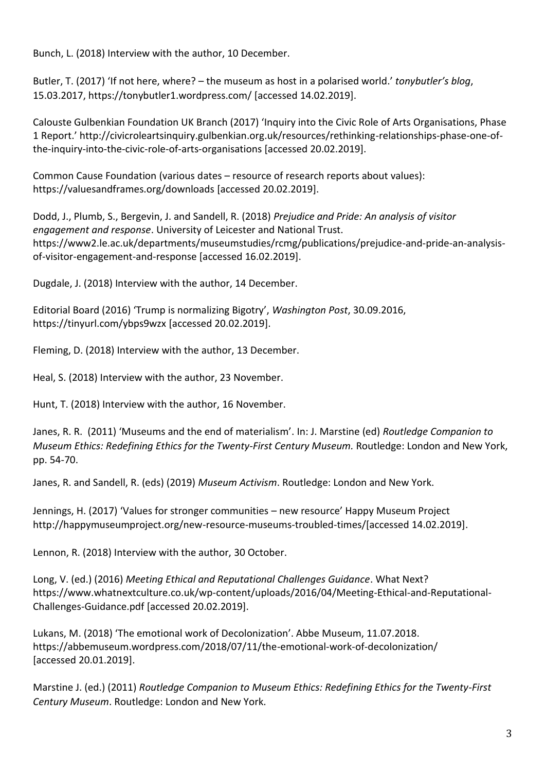Bunch, L. (2018) Interview with the author, 10 December.

Butler, T. (2017) 'If not here, where? – the museum as host in a [polarised](https://tonybutler1.wordpress.com/2017/03/15/if-not-here-where-the-museum-as-host-in-a-polarised-world/) world.' *tonybutler's blog*, 15.03.2017,<https://tonybutler1.wordpress.com/> [accessed 14.02.2019].

Calouste Gulbenkian Foundation UK Branch (2017) 'Inquiry into the Civic Role of Arts Organisations, Phase 1 Report.' [http://civicroleartsinquiry.gulbenkian.org.uk/resources/rethinking-relationships-phase-one-of](http://civicroleartsinquiry.gulbenkian.org.uk/resources/rethinking-relationships-phase-one-of-the-inquiry-into-the-civic-role-of-arts-organisations)[the-inquiry-into-the-civic-role-of-arts-organisations](http://civicroleartsinquiry.gulbenkian.org.uk/resources/rethinking-relationships-phase-one-of-the-inquiry-into-the-civic-role-of-arts-organisations) [accessed 20.02.2019].

Common Cause Foundation (various dates – resource of research reports about values): <https://valuesandframes.org/downloads> [accessed 20.02.2019].

Dodd, J., Plumb, S., Bergevin, J. and Sandell, R. (2018) *Prejudice and Pride: An analysis of visitor engagement and response*. University of Leicester and National Trust. [https://www2.le.ac.uk/departments/museumstudies/rcmg/publications/prejudice-and-pride-an-analysis](https://www2.le.ac.uk/departments/museumstudies/rcmg/publications/prejudice-and-pride-an-analysis-of-visitor-engagement-and-response)[of-visitor-engagement-and-response](https://www2.le.ac.uk/departments/museumstudies/rcmg/publications/prejudice-and-pride-an-analysis-of-visitor-engagement-and-response) [accessed 16.02.2019].

Dugdale, J. (2018) Interview with the author, 14 December.

Editorial Board (2016) 'Trump is normalizing Bigotry', *Washington Post*, 30.09.2016, <https://tinyurl.com/ybps9wzx> [accessed 20.02.2019].

Fleming, D. (2018) Interview with the author, 13 December.

Heal, S. (2018) Interview with the author, 23 November.

Hunt, T. (2018) Interview with the author, 16 November.

Janes, R. R. (2011) 'Museums and the end of materialism'. In: J. Marstine (ed) *[Routledge Companion to](http://www.routledge.com/books/details/9780415566124/)  [Museum Ethics: Redefining Ethics for the Twenty-First Century Museum.](http://www.routledge.com/books/details/9780415566124/)* Routledge: London and New York, pp. 54-70.

Janes, R. and Sandell, R. (eds) (2019) *Museum Activism*. Routledge: London and New York.

Jennings, H. (2017) 'Values for stronger communities – new resource' Happy Museum Project [http://happymuseumproject.org/new-resource-museums-troubled-times/\[](http://happymuseumproject.org/new-resource-museums-troubled-times/)accessed 14.02.2019].

Lennon, R. (2018) Interview with the author, 30 October.

Long, V. (ed.) (2016) *Meeting Ethical and Reputational Challenges Guidance*. What Next? [https://www.whatnextculture.co.uk/wp-content/uploads/2016/04/Meeting-Ethical-and-Reputational-](https://www.whatnextculture.co.uk/wp-content/uploads/2016/04/Meeting-Ethical-and-Reputational-Challenges-Guidance.pdf)[Challenges-Guidance.pdf](https://www.whatnextculture.co.uk/wp-content/uploads/2016/04/Meeting-Ethical-and-Reputational-Challenges-Guidance.pdf) [accessed 20.02.2019].

Lukans, M. (2018) 'The emotional work of Decolonization'. Abbe Museum, 11.07.2018. <https://abbemuseum.wordpress.com/2018/07/11/the-emotional-work-of-decolonization/> [accessed 20.01.2019].

Marstine J. (ed.) (2011) *Routledge Companion to [Museum Ethics: Redefining Ethics for the Twenty-First](http://www.routledge.com/books/details/9780415566124/)  [Century Museum](http://www.routledge.com/books/details/9780415566124/)*. Routledge: London and New York.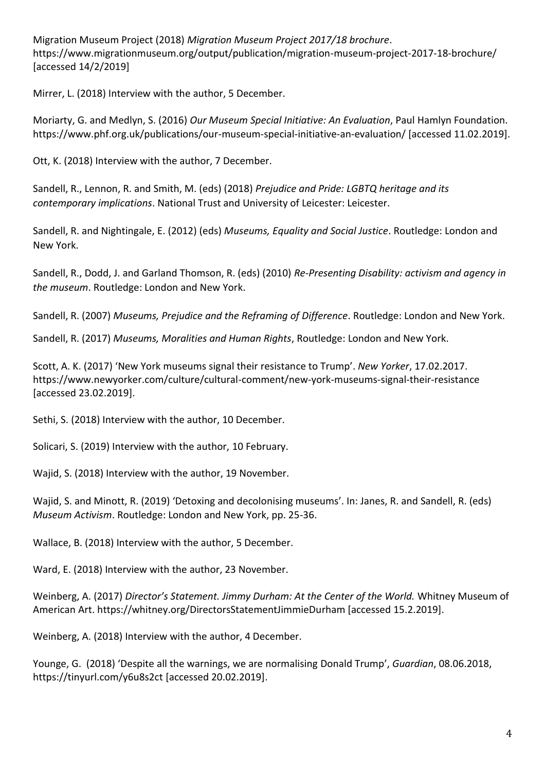Migration Museum Project (2018) *Migration Museum Project 2017/18 brochure*. <https://www.migrationmuseum.org/output/publication/migration-museum-project-2017-18-brochure/> [accessed 14/2/2019]

Mirrer, L. (2018) Interview with the author, 5 December.

Moriarty, G. and Medlyn, S. (2016) *Our Museum Special Initiative: An Evaluation*, Paul Hamlyn Foundation. <https://www.phf.org.uk/publications/our-museum-special-initiative-an-evaluation/> [accessed 11.02.2019].

Ott, K. (2018) Interview with the author, 7 December.

Sandell, R., Lennon, R. and Smith, M. (eds) (2018) *Prejudice and Pride: LGBTQ heritage and its contemporary implications*. National Trust and University of Leicester: Leicester.

Sandell, R. and Nightingale, E. (2012) (eds) *[Museums, Equality and Social Justice](http://www.routledge.com/books/details/9780415504690/)*. Routledge: London and New York.

Sandell, R., Dodd, J. and Garland Thomson, R. (eds) (2010) *[Re-Presenting Disability: activism and agency in](http://www.routledge.com/books/details/9780415494731/)  [the museum](http://www.routledge.com/books/details/9780415494731/)*. Routledge: London and New York.

Sandell, R. (2007) *Museums, Prejudice and the Reframing of Difference*. Routledge: London and New York.

Sandell, R. (2017) *Museums, Moralities and Human Rights*, Routledge: London and New York.

Scott, A. K. (2017) 'New York museums signal their resistance to Trump'. *New Yorker*, 17.02.2017. <https://www.newyorker.com/culture/cultural-comment/new-york-museums-signal-their-resistance> [accessed 23.02.2019].

Sethi, S. (2018) Interview with the author, 10 December.

Solicari, S. (2019) Interview with the author, 10 February.

Wajid, S. (2018) Interview with the author, 19 November.

Wajid, S. and Minott, R. (2019) 'Detoxing and decolonising museums'. In: Janes, R. and Sandell, R. (eds) *Museum Activism*. Routledge: London and New York, pp. 25-36.

Wallace, B. (2018) Interview with the author, 5 December.

Ward, E. (2018) Interview with the author, 23 November.

Weinberg, A. (2017) *Director's Statement. Jimmy Durham: At the Center of the World.* Whitney Museum of American Art.<https://whitney.org/DirectorsStatementJimmieDurham> [accessed 15.2.2019].

Weinberg, A. (2018) Interview with the author, 4 December.

Younge, G. (2018) 'Despite all the warnings, we are normalising Donald Trump', *Guardian*, 08.06.2018, <https://tinyurl.com/y6u8s2ct> [accessed 20.02.2019].